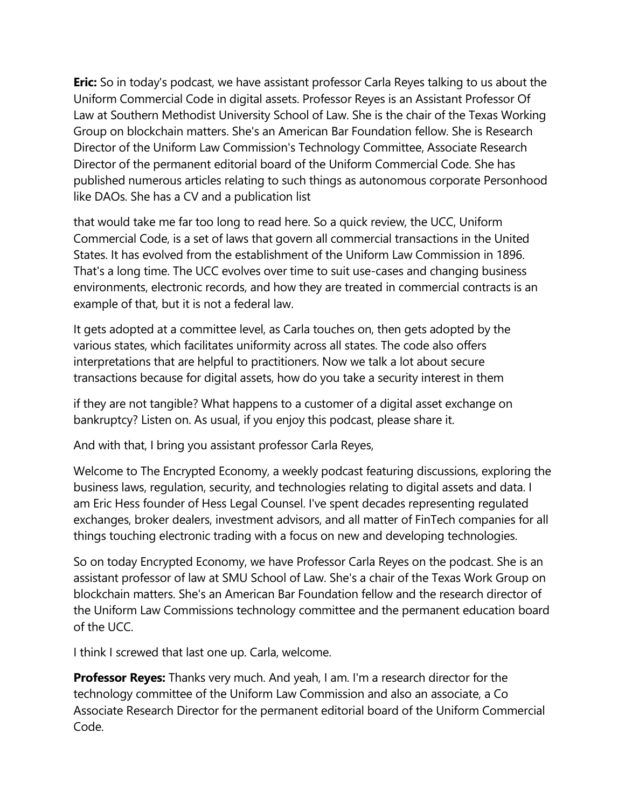**Eric:** So in today's podcast, we have assistant professor Carla Reyes talking to us about the Uniform Commercial Code in digital assets. Professor Reyes is an Assistant Professor Of Law at Southern Methodist University School of Law. She is the chair of the Texas Working Group on blockchain matters. She's an American Bar Foundation fellow. She is Research Director of the Uniform Law Commission's Technology Committee, Associate Research Director of the permanent editorial board of the Uniform Commercial Code. She has published numerous articles relating to such things as autonomous corporate Personhood like DAOs. She has a CV and a publication list

that would take me far too long to read here. So a quick review, the UCC, Uniform Commercial Code, is a set of laws that govern all commercial transactions in the United States. It has evolved from the establishment of the Uniform Law Commission in 1896. That's a long time. The UCC evolves over time to suit use-cases and changing business environments, electronic records, and how they are treated in commercial contracts is an example of that, but it is not a federal law.

It gets adopted at a committee level, as Carla touches on, then gets adopted by the various states, which facilitates uniformity across all states. The code also offers interpretations that are helpful to practitioners. Now we talk a lot about secure transactions because for digital assets, how do you take a security interest in them

if they are not tangible? What happens to a customer of a digital asset exchange on bankruptcy? Listen on. As usual, if you enjoy this podcast, please share it.

And with that, I bring you assistant professor Carla Reyes,

Welcome to The Encrypted Economy, a weekly podcast featuring discussions, exploring the business laws, regulation, security, and technologies relating to digital assets and data. I am Eric Hess founder of Hess Legal Counsel. I've spent decades representing regulated exchanges, broker dealers, investment advisors, and all matter of FinTech companies for all things touching electronic trading with a focus on new and developing technologies.

So on today Encrypted Economy, we have Professor Carla Reyes on the podcast. She is an assistant professor of law at SMU School of Law. She's a chair of the Texas Work Group on blockchain matters. She's an American Bar Foundation fellow and the research director of the Uniform Law Commissions technology committee and the permanent education board of the UCC.

I think I screwed that last one up. Carla, welcome.

**Professor Reyes:** Thanks very much. And yeah, I am. I'm a research director for the technology committee of the Uniform Law Commission and also an associate, a Co Associate Research Director for the permanent editorial board of the Uniform Commercial Code.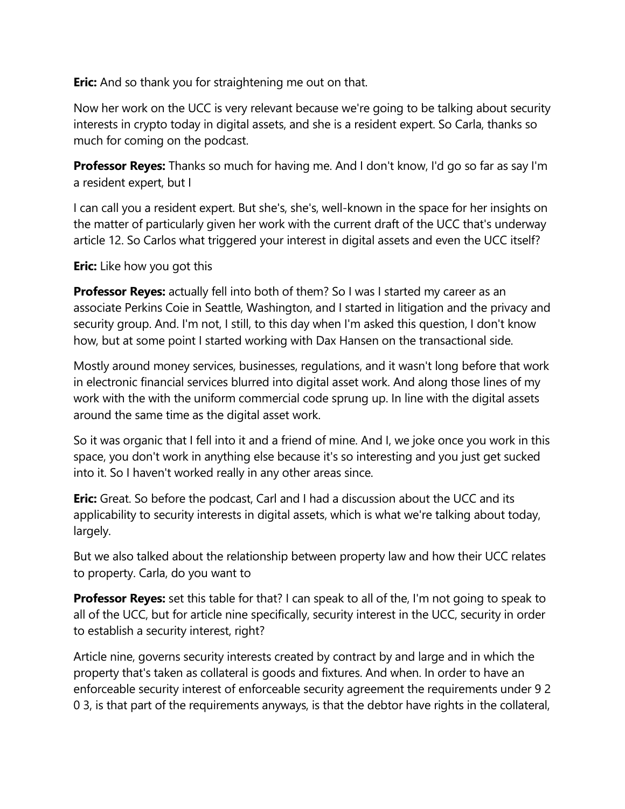**Eric:** And so thank you for straightening me out on that.

Now her work on the UCC is very relevant because we're going to be talking about security interests in crypto today in digital assets, and she is a resident expert. So Carla, thanks so much for coming on the podcast.

**Professor Reyes:** Thanks so much for having me. And I don't know, I'd go so far as say I'm a resident expert, but I

I can call you a resident expert. But she's, she's, well-known in the space for her insights on the matter of particularly given her work with the current draft of the UCC that's underway article 12. So Carlos what triggered your interest in digital assets and even the UCC itself?

**Eric:** Like how you got this

**Professor Reyes:** actually fell into both of them? So I was I started my career as an associate Perkins Coie in Seattle, Washington, and I started in litigation and the privacy and security group. And. I'm not, I still, to this day when I'm asked this question, I don't know how, but at some point I started working with Dax Hansen on the transactional side.

Mostly around money services, businesses, regulations, and it wasn't long before that work in electronic financial services blurred into digital asset work. And along those lines of my work with the with the uniform commercial code sprung up. In line with the digital assets around the same time as the digital asset work.

So it was organic that I fell into it and a friend of mine. And I, we joke once you work in this space, you don't work in anything else because it's so interesting and you just get sucked into it. So I haven't worked really in any other areas since.

**Eric:** Great. So before the podcast, Carl and I had a discussion about the UCC and its applicability to security interests in digital assets, which is what we're talking about today, largely.

But we also talked about the relationship between property law and how their UCC relates to property. Carla, do you want to

**Professor Reyes:** set this table for that? I can speak to all of the, I'm not going to speak to all of the UCC, but for article nine specifically, security interest in the UCC, security in order to establish a security interest, right?

Article nine, governs security interests created by contract by and large and in which the property that's taken as collateral is goods and fixtures. And when. In order to have an enforceable security interest of enforceable security agreement the requirements under 9 2 0 3, is that part of the requirements anyways, is that the debtor have rights in the collateral,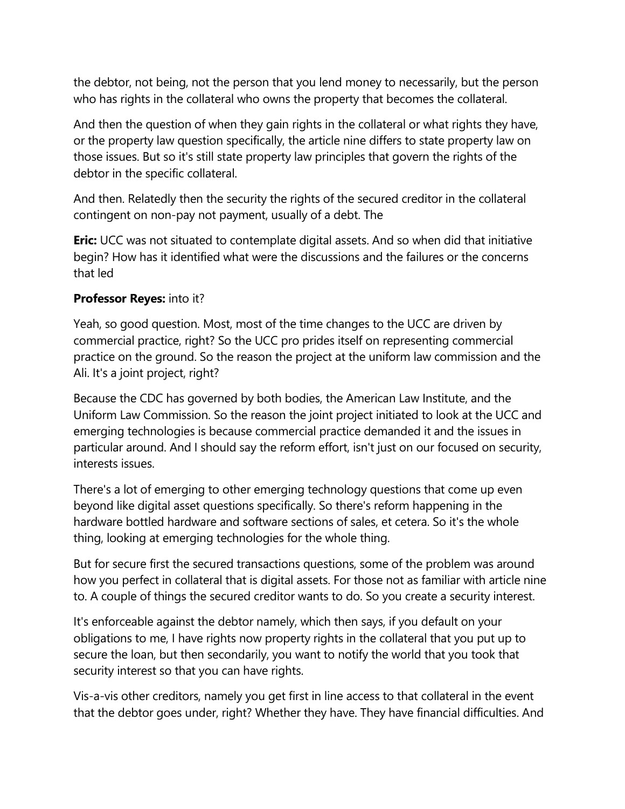the debtor, not being, not the person that you lend money to necessarily, but the person who has rights in the collateral who owns the property that becomes the collateral.

And then the question of when they gain rights in the collateral or what rights they have, or the property law question specifically, the article nine differs to state property law on those issues. But so it's still state property law principles that govern the rights of the debtor in the specific collateral.

And then. Relatedly then the security the rights of the secured creditor in the collateral contingent on non-pay not payment, usually of a debt. The

**Eric:** UCC was not situated to contemplate digital assets. And so when did that initiative begin? How has it identified what were the discussions and the failures or the concerns that led

## **Professor Reyes:** into it?

Yeah, so good question. Most, most of the time changes to the UCC are driven by commercial practice, right? So the UCC pro prides itself on representing commercial practice on the ground. So the reason the project at the uniform law commission and the Ali. It's a joint project, right?

Because the CDC has governed by both bodies, the American Law Institute, and the Uniform Law Commission. So the reason the joint project initiated to look at the UCC and emerging technologies is because commercial practice demanded it and the issues in particular around. And I should say the reform effort, isn't just on our focused on security, interests issues.

There's a lot of emerging to other emerging technology questions that come up even beyond like digital asset questions specifically. So there's reform happening in the hardware bottled hardware and software sections of sales, et cetera. So it's the whole thing, looking at emerging technologies for the whole thing.

But for secure first the secured transactions questions, some of the problem was around how you perfect in collateral that is digital assets. For those not as familiar with article nine to. A couple of things the secured creditor wants to do. So you create a security interest.

It's enforceable against the debtor namely, which then says, if you default on your obligations to me, I have rights now property rights in the collateral that you put up to secure the loan, but then secondarily, you want to notify the world that you took that security interest so that you can have rights.

Vis-a-vis other creditors, namely you get first in line access to that collateral in the event that the debtor goes under, right? Whether they have. They have financial difficulties. And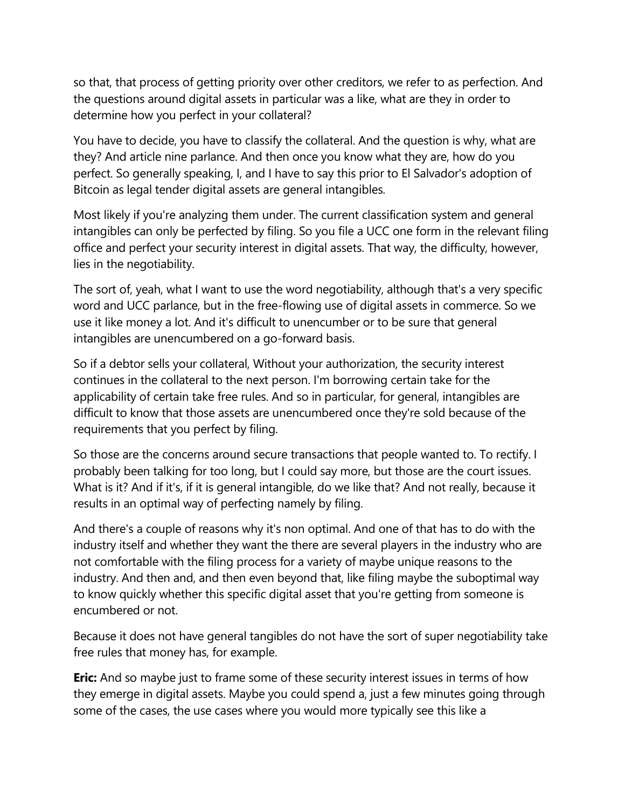so that, that process of getting priority over other creditors, we refer to as perfection. And the questions around digital assets in particular was a like, what are they in order to determine how you perfect in your collateral?

You have to decide, you have to classify the collateral. And the question is why, what are they? And article nine parlance. And then once you know what they are, how do you perfect. So generally speaking, I, and I have to say this prior to El Salvador's adoption of Bitcoin as legal tender digital assets are general intangibles.

Most likely if you're analyzing them under. The current classification system and general intangibles can only be perfected by filing. So you file a UCC one form in the relevant filing office and perfect your security interest in digital assets. That way, the difficulty, however, lies in the negotiability.

The sort of, yeah, what I want to use the word negotiability, although that's a very specific word and UCC parlance, but in the free-flowing use of digital assets in commerce. So we use it like money a lot. And it's difficult to unencumber or to be sure that general intangibles are unencumbered on a go-forward basis.

So if a debtor sells your collateral, Without your authorization, the security interest continues in the collateral to the next person. I'm borrowing certain take for the applicability of certain take free rules. And so in particular, for general, intangibles are difficult to know that those assets are unencumbered once they're sold because of the requirements that you perfect by filing.

So those are the concerns around secure transactions that people wanted to. To rectify. I probably been talking for too long, but I could say more, but those are the court issues. What is it? And if it's, if it is general intangible, do we like that? And not really, because it results in an optimal way of perfecting namely by filing.

And there's a couple of reasons why it's non optimal. And one of that has to do with the industry itself and whether they want the there are several players in the industry who are not comfortable with the filing process for a variety of maybe unique reasons to the industry. And then and, and then even beyond that, like filing maybe the suboptimal way to know quickly whether this specific digital asset that you're getting from someone is encumbered or not.

Because it does not have general tangibles do not have the sort of super negotiability take free rules that money has, for example.

**Eric:** And so maybe just to frame some of these security interest issues in terms of how they emerge in digital assets. Maybe you could spend a, just a few minutes going through some of the cases, the use cases where you would more typically see this like a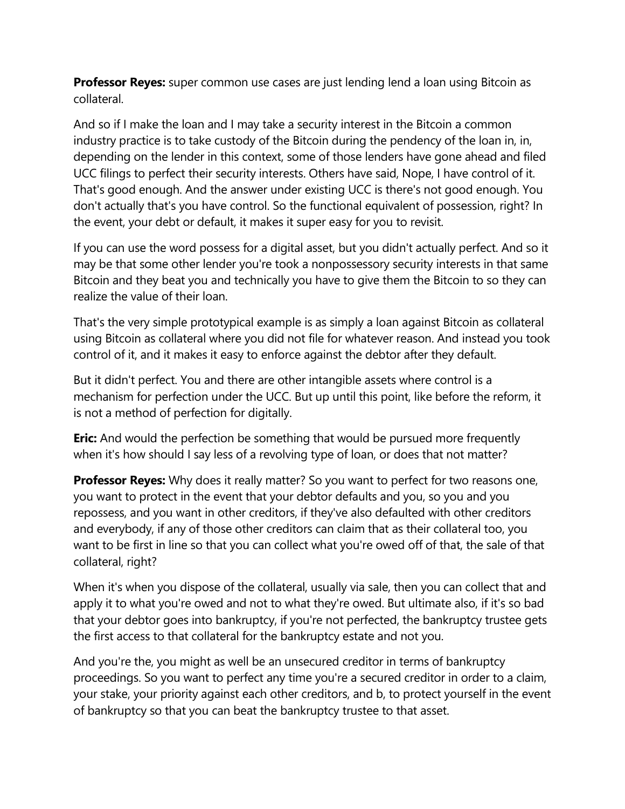**Professor Reyes:** super common use cases are just lending lend a loan using Bitcoin as collateral.

And so if I make the loan and I may take a security interest in the Bitcoin a common industry practice is to take custody of the Bitcoin during the pendency of the loan in, in, depending on the lender in this context, some of those lenders have gone ahead and filed UCC filings to perfect their security interests. Others have said, Nope, I have control of it. That's good enough. And the answer under existing UCC is there's not good enough. You don't actually that's you have control. So the functional equivalent of possession, right? In the event, your debt or default, it makes it super easy for you to revisit.

If you can use the word possess for a digital asset, but you didn't actually perfect. And so it may be that some other lender you're took a nonpossessory security interests in that same Bitcoin and they beat you and technically you have to give them the Bitcoin to so they can realize the value of their loan.

That's the very simple prototypical example is as simply a loan against Bitcoin as collateral using Bitcoin as collateral where you did not file for whatever reason. And instead you took control of it, and it makes it easy to enforce against the debtor after they default.

But it didn't perfect. You and there are other intangible assets where control is a mechanism for perfection under the UCC. But up until this point, like before the reform, it is not a method of perfection for digitally.

**Eric:** And would the perfection be something that would be pursued more frequently when it's how should I say less of a revolving type of loan, or does that not matter?

**Professor Reyes:** Why does it really matter? So you want to perfect for two reasons one, you want to protect in the event that your debtor defaults and you, so you and you repossess, and you want in other creditors, if they've also defaulted with other creditors and everybody, if any of those other creditors can claim that as their collateral too, you want to be first in line so that you can collect what you're owed off of that, the sale of that collateral, right?

When it's when you dispose of the collateral, usually via sale, then you can collect that and apply it to what you're owed and not to what they're owed. But ultimate also, if it's so bad that your debtor goes into bankruptcy, if you're not perfected, the bankruptcy trustee gets the first access to that collateral for the bankruptcy estate and not you.

And you're the, you might as well be an unsecured creditor in terms of bankruptcy proceedings. So you want to perfect any time you're a secured creditor in order to a claim, your stake, your priority against each other creditors, and b, to protect yourself in the event of bankruptcy so that you can beat the bankruptcy trustee to that asset.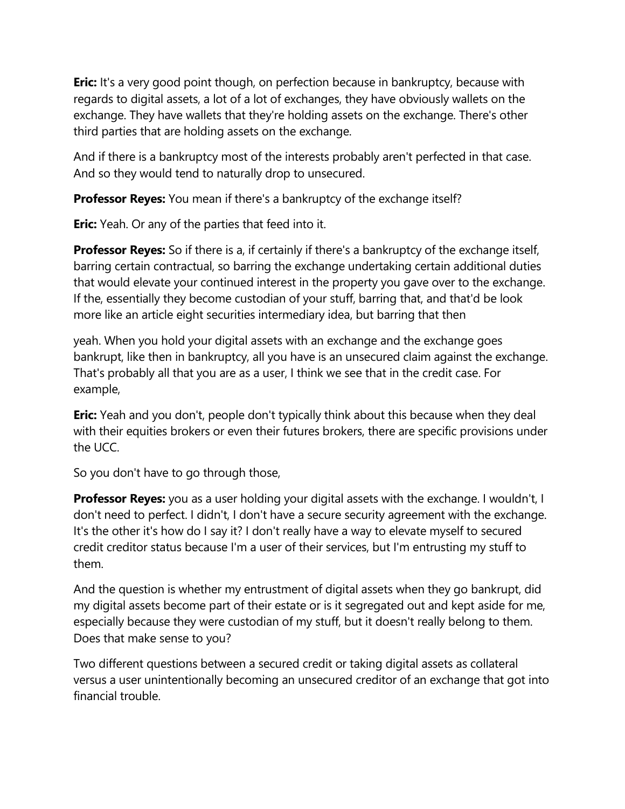**Eric:** It's a very good point though, on perfection because in bankruptcy, because with regards to digital assets, a lot of a lot of exchanges, they have obviously wallets on the exchange. They have wallets that they're holding assets on the exchange. There's other third parties that are holding assets on the exchange.

And if there is a bankruptcy most of the interests probably aren't perfected in that case. And so they would tend to naturally drop to unsecured.

**Professor Reyes:** You mean if there's a bankruptcy of the exchange itself?

**Eric:** Yeah. Or any of the parties that feed into it.

**Professor Reyes:** So if there is a, if certainly if there's a bankruptcy of the exchange itself, barring certain contractual, so barring the exchange undertaking certain additional duties that would elevate your continued interest in the property you gave over to the exchange. If the, essentially they become custodian of your stuff, barring that, and that'd be look more like an article eight securities intermediary idea, but barring that then

yeah. When you hold your digital assets with an exchange and the exchange goes bankrupt, like then in bankruptcy, all you have is an unsecured claim against the exchange. That's probably all that you are as a user, I think we see that in the credit case. For example,

**Eric:** Yeah and you don't, people don't typically think about this because when they deal with their equities brokers or even their futures brokers, there are specific provisions under the UCC.

So you don't have to go through those,

**Professor Reyes:** you as a user holding your digital assets with the exchange. I wouldn't, I don't need to perfect. I didn't, I don't have a secure security agreement with the exchange. It's the other it's how do I say it? I don't really have a way to elevate myself to secured credit creditor status because I'm a user of their services, but I'm entrusting my stuff to them.

And the question is whether my entrustment of digital assets when they go bankrupt, did my digital assets become part of their estate or is it segregated out and kept aside for me, especially because they were custodian of my stuff, but it doesn't really belong to them. Does that make sense to you?

Two different questions between a secured credit or taking digital assets as collateral versus a user unintentionally becoming an unsecured creditor of an exchange that got into financial trouble.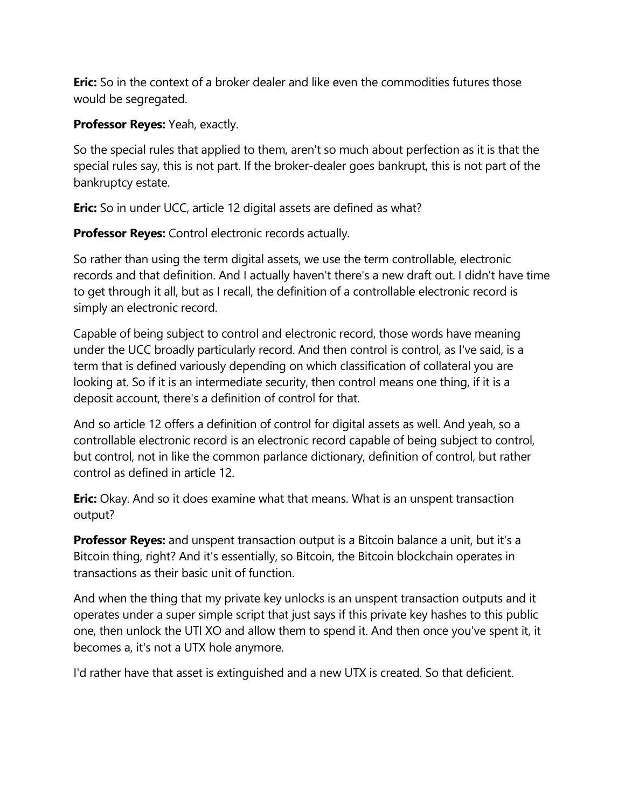**Eric:** So in the context of a broker dealer and like even the commodities futures those would be segregated.

**Professor Reyes:** Yeah, exactly.

So the special rules that applied to them, aren't so much about perfection as it is that the special rules say, this is not part. If the broker-dealer goes bankrupt, this is not part of the bankruptcy estate.

**Eric:** So in under UCC, article 12 digital assets are defined as what?

**Professor Reyes:** Control electronic records actually.

So rather than using the term digital assets, we use the term controllable, electronic records and that definition. And I actually haven't there's a new draft out. I didn't have time to get through it all, but as I recall, the definition of a controllable electronic record is simply an electronic record.

Capable of being subject to control and electronic record, those words have meaning under the UCC broadly particularly record. And then control is control, as I've said, is a term that is defined variously depending on which classification of collateral you are looking at. So if it is an intermediate security, then control means one thing, if it is a deposit account, there's a definition of control for that.

And so article 12 offers a definition of control for digital assets as well. And yeah, so a controllable electronic record is an electronic record capable of being subject to control, but control, not in like the common parlance dictionary, definition of control, but rather control as defined in article 12.

**Eric:** Okay. And so it does examine what that means. What is an unspent transaction output?

**Professor Reyes:** and unspent transaction output is a Bitcoin balance a unit, but it's a Bitcoin thing, right? And it's essentially, so Bitcoin, the Bitcoin blockchain operates in transactions as their basic unit of function.

And when the thing that my private key unlocks is an unspent transaction outputs and it operates under a super simple script that just says if this private key hashes to this public one, then unlock the UTI XO and allow them to spend it. And then once you've spent it, it becomes a, it's not a UTX hole anymore.

I'd rather have that asset is extinguished and a new UTX is created. So that deficient.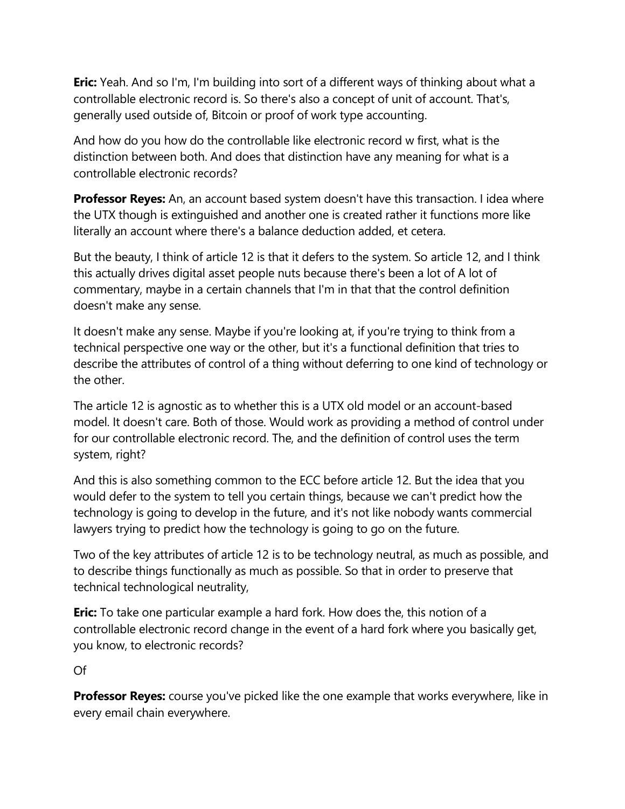**Eric:** Yeah. And so I'm, I'm building into sort of a different ways of thinking about what a controllable electronic record is. So there's also a concept of unit of account. That's, generally used outside of, Bitcoin or proof of work type accounting.

And how do you how do the controllable like electronic record w first, what is the distinction between both. And does that distinction have any meaning for what is a controllable electronic records?

**Professor Reyes:** An, an account based system doesn't have this transaction. I idea where the UTX though is extinguished and another one is created rather it functions more like literally an account where there's a balance deduction added, et cetera.

But the beauty, I think of article 12 is that it defers to the system. So article 12, and I think this actually drives digital asset people nuts because there's been a lot of A lot of commentary, maybe in a certain channels that I'm in that that the control definition doesn't make any sense.

It doesn't make any sense. Maybe if you're looking at, if you're trying to think from a technical perspective one way or the other, but it's a functional definition that tries to describe the attributes of control of a thing without deferring to one kind of technology or the other.

The article 12 is agnostic as to whether this is a UTX old model or an account-based model. It doesn't care. Both of those. Would work as providing a method of control under for our controllable electronic record. The, and the definition of control uses the term system, right?

And this is also something common to the ECC before article 12. But the idea that you would defer to the system to tell you certain things, because we can't predict how the technology is going to develop in the future, and it's not like nobody wants commercial lawyers trying to predict how the technology is going to go on the future.

Two of the key attributes of article 12 is to be technology neutral, as much as possible, and to describe things functionally as much as possible. So that in order to preserve that technical technological neutrality,

**Eric:** To take one particular example a hard fork. How does the, this notion of a controllable electronic record change in the event of a hard fork where you basically get, you know, to electronic records?

Of

**Professor Reyes:** course you've picked like the one example that works everywhere, like in every email chain everywhere.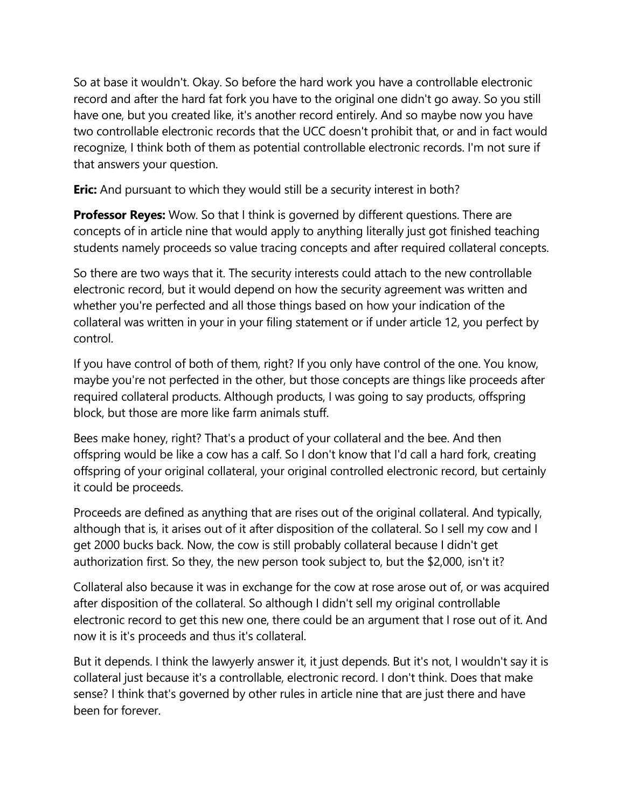So at base it wouldn't. Okay. So before the hard work you have a controllable electronic record and after the hard fat fork you have to the original one didn't go away. So you still have one, but you created like, it's another record entirely. And so maybe now you have two controllable electronic records that the UCC doesn't prohibit that, or and in fact would recognize, I think both of them as potential controllable electronic records. I'm not sure if that answers your question.

**Eric:** And pursuant to which they would still be a security interest in both?

**Professor Reyes:** Wow. So that I think is governed by different questions. There are concepts of in article nine that would apply to anything literally just got finished teaching students namely proceeds so value tracing concepts and after required collateral concepts.

So there are two ways that it. The security interests could attach to the new controllable electronic record, but it would depend on how the security agreement was written and whether you're perfected and all those things based on how your indication of the collateral was written in your in your filing statement or if under article 12, you perfect by control.

If you have control of both of them, right? If you only have control of the one. You know, maybe you're not perfected in the other, but those concepts are things like proceeds after required collateral products. Although products, I was going to say products, offspring block, but those are more like farm animals stuff.

Bees make honey, right? That's a product of your collateral and the bee. And then offspring would be like a cow has a calf. So I don't know that I'd call a hard fork, creating offspring of your original collateral, your original controlled electronic record, but certainly it could be proceeds.

Proceeds are defined as anything that are rises out of the original collateral. And typically, although that is, it arises out of it after disposition of the collateral. So I sell my cow and I get 2000 bucks back. Now, the cow is still probably collateral because I didn't get authorization first. So they, the new person took subject to, but the \$2,000, isn't it?

Collateral also because it was in exchange for the cow at rose arose out of, or was acquired after disposition of the collateral. So although I didn't sell my original controllable electronic record to get this new one, there could be an argument that I rose out of it. And now it is it's proceeds and thus it's collateral.

But it depends. I think the lawyerly answer it, it just depends. But it's not, I wouldn't say it is collateral just because it's a controllable, electronic record. I don't think. Does that make sense? I think that's governed by other rules in article nine that are just there and have been for forever.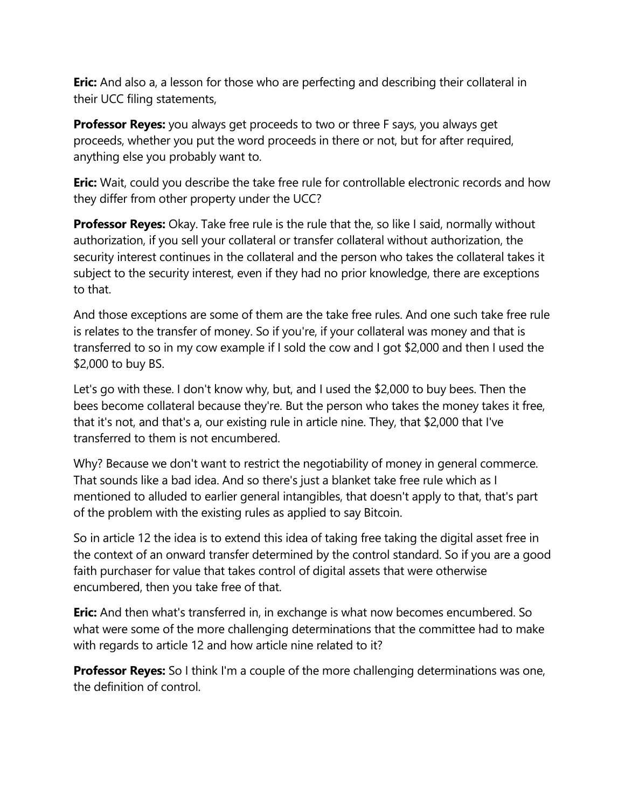**Eric:** And also a, a lesson for those who are perfecting and describing their collateral in their UCC filing statements,

**Professor Reyes:** you always get proceeds to two or three F says, you always get proceeds, whether you put the word proceeds in there or not, but for after required, anything else you probably want to.

**Eric:** Wait, could you describe the take free rule for controllable electronic records and how they differ from other property under the UCC?

**Professor Reyes:** Okay. Take free rule is the rule that the, so like I said, normally without authorization, if you sell your collateral or transfer collateral without authorization, the security interest continues in the collateral and the person who takes the collateral takes it subject to the security interest, even if they had no prior knowledge, there are exceptions to that.

And those exceptions are some of them are the take free rules. And one such take free rule is relates to the transfer of money. So if you're, if your collateral was money and that is transferred to so in my cow example if I sold the cow and I got \$2,000 and then I used the \$2,000 to buy BS.

Let's go with these. I don't know why, but, and I used the \$2,000 to buy bees. Then the bees become collateral because they're. But the person who takes the money takes it free, that it's not, and that's a, our existing rule in article nine. They, that \$2,000 that I've transferred to them is not encumbered.

Why? Because we don't want to restrict the negotiability of money in general commerce. That sounds like a bad idea. And so there's just a blanket take free rule which as I mentioned to alluded to earlier general intangibles, that doesn't apply to that, that's part of the problem with the existing rules as applied to say Bitcoin.

So in article 12 the idea is to extend this idea of taking free taking the digital asset free in the context of an onward transfer determined by the control standard. So if you are a good faith purchaser for value that takes control of digital assets that were otherwise encumbered, then you take free of that.

**Eric:** And then what's transferred in, in exchange is what now becomes encumbered. So what were some of the more challenging determinations that the committee had to make with regards to article 12 and how article nine related to it?

**Professor Reyes:** So I think I'm a couple of the more challenging determinations was one, the definition of control.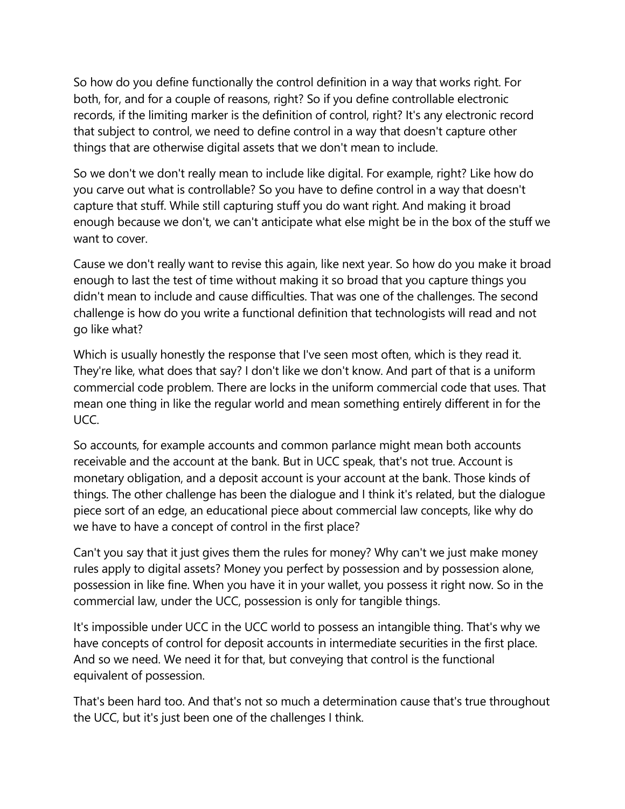So how do you define functionally the control definition in a way that works right. For both, for, and for a couple of reasons, right? So if you define controllable electronic records, if the limiting marker is the definition of control, right? It's any electronic record that subject to control, we need to define control in a way that doesn't capture other things that are otherwise digital assets that we don't mean to include.

So we don't we don't really mean to include like digital. For example, right? Like how do you carve out what is controllable? So you have to define control in a way that doesn't capture that stuff. While still capturing stuff you do want right. And making it broad enough because we don't, we can't anticipate what else might be in the box of the stuff we want to cover.

Cause we don't really want to revise this again, like next year. So how do you make it broad enough to last the test of time without making it so broad that you capture things you didn't mean to include and cause difficulties. That was one of the challenges. The second challenge is how do you write a functional definition that technologists will read and not go like what?

Which is usually honestly the response that I've seen most often, which is they read it. They're like, what does that say? I don't like we don't know. And part of that is a uniform commercial code problem. There are locks in the uniform commercial code that uses. That mean one thing in like the regular world and mean something entirely different in for the UCC.

So accounts, for example accounts and common parlance might mean both accounts receivable and the account at the bank. But in UCC speak, that's not true. Account is monetary obligation, and a deposit account is your account at the bank. Those kinds of things. The other challenge has been the dialogue and I think it's related, but the dialogue piece sort of an edge, an educational piece about commercial law concepts, like why do we have to have a concept of control in the first place?

Can't you say that it just gives them the rules for money? Why can't we just make money rules apply to digital assets? Money you perfect by possession and by possession alone, possession in like fine. When you have it in your wallet, you possess it right now. So in the commercial law, under the UCC, possession is only for tangible things.

It's impossible under UCC in the UCC world to possess an intangible thing. That's why we have concepts of control for deposit accounts in intermediate securities in the first place. And so we need. We need it for that, but conveying that control is the functional equivalent of possession.

That's been hard too. And that's not so much a determination cause that's true throughout the UCC, but it's just been one of the challenges I think.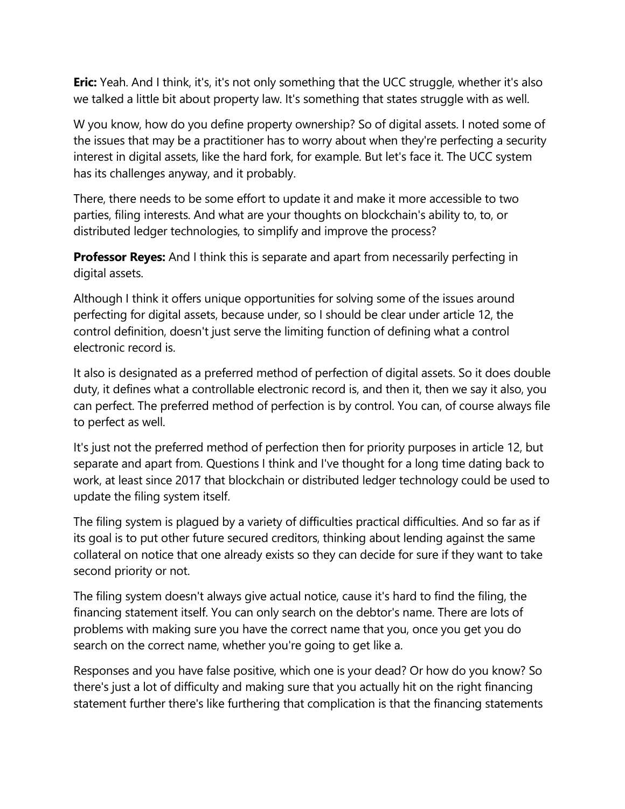**Eric:** Yeah. And I think, it's, it's not only something that the UCC struggle, whether it's also we talked a little bit about property law. It's something that states struggle with as well.

W you know, how do you define property ownership? So of digital assets. I noted some of the issues that may be a practitioner has to worry about when they're perfecting a security interest in digital assets, like the hard fork, for example. But let's face it. The UCC system has its challenges anyway, and it probably.

There, there needs to be some effort to update it and make it more accessible to two parties, filing interests. And what are your thoughts on blockchain's ability to, to, or distributed ledger technologies, to simplify and improve the process?

**Professor Reyes:** And I think this is separate and apart from necessarily perfecting in digital assets.

Although I think it offers unique opportunities for solving some of the issues around perfecting for digital assets, because under, so I should be clear under article 12, the control definition, doesn't just serve the limiting function of defining what a control electronic record is.

It also is designated as a preferred method of perfection of digital assets. So it does double duty, it defines what a controllable electronic record is, and then it, then we say it also, you can perfect. The preferred method of perfection is by control. You can, of course always file to perfect as well.

It's just not the preferred method of perfection then for priority purposes in article 12, but separate and apart from. Questions I think and I've thought for a long time dating back to work, at least since 2017 that blockchain or distributed ledger technology could be used to update the filing system itself.

The filing system is plagued by a variety of difficulties practical difficulties. And so far as if its goal is to put other future secured creditors, thinking about lending against the same collateral on notice that one already exists so they can decide for sure if they want to take second priority or not.

The filing system doesn't always give actual notice, cause it's hard to find the filing, the financing statement itself. You can only search on the debtor's name. There are lots of problems with making sure you have the correct name that you, once you get you do search on the correct name, whether you're going to get like a.

Responses and you have false positive, which one is your dead? Or how do you know? So there's just a lot of difficulty and making sure that you actually hit on the right financing statement further there's like furthering that complication is that the financing statements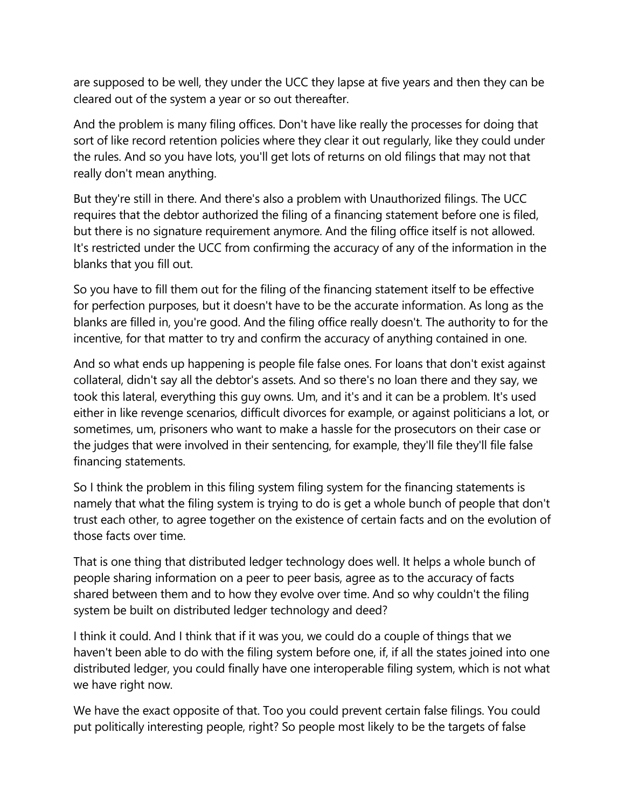are supposed to be well, they under the UCC they lapse at five years and then they can be cleared out of the system a year or so out thereafter.

And the problem is many filing offices. Don't have like really the processes for doing that sort of like record retention policies where they clear it out regularly, like they could under the rules. And so you have lots, you'll get lots of returns on old filings that may not that really don't mean anything.

But they're still in there. And there's also a problem with Unauthorized filings. The UCC requires that the debtor authorized the filing of a financing statement before one is filed, but there is no signature requirement anymore. And the filing office itself is not allowed. It's restricted under the UCC from confirming the accuracy of any of the information in the blanks that you fill out.

So you have to fill them out for the filing of the financing statement itself to be effective for perfection purposes, but it doesn't have to be the accurate information. As long as the blanks are filled in, you're good. And the filing office really doesn't. The authority to for the incentive, for that matter to try and confirm the accuracy of anything contained in one.

And so what ends up happening is people file false ones. For loans that don't exist against collateral, didn't say all the debtor's assets. And so there's no loan there and they say, we took this lateral, everything this guy owns. Um, and it's and it can be a problem. It's used either in like revenge scenarios, difficult divorces for example, or against politicians a lot, or sometimes, um, prisoners who want to make a hassle for the prosecutors on their case or the judges that were involved in their sentencing, for example, they'll file they'll file false financing statements.

So I think the problem in this filing system filing system for the financing statements is namely that what the filing system is trying to do is get a whole bunch of people that don't trust each other, to agree together on the existence of certain facts and on the evolution of those facts over time.

That is one thing that distributed ledger technology does well. It helps a whole bunch of people sharing information on a peer to peer basis, agree as to the accuracy of facts shared between them and to how they evolve over time. And so why couldn't the filing system be built on distributed ledger technology and deed?

I think it could. And I think that if it was you, we could do a couple of things that we haven't been able to do with the filing system before one, if, if all the states joined into one distributed ledger, you could finally have one interoperable filing system, which is not what we have right now.

We have the exact opposite of that. Too you could prevent certain false filings. You could put politically interesting people, right? So people most likely to be the targets of false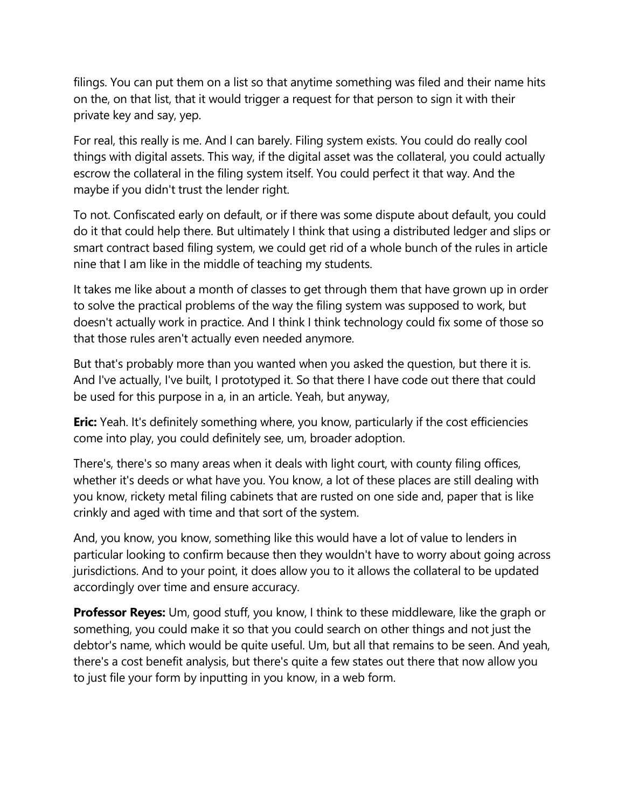filings. You can put them on a list so that anytime something was filed and their name hits on the, on that list, that it would trigger a request for that person to sign it with their private key and say, yep.

For real, this really is me. And I can barely. Filing system exists. You could do really cool things with digital assets. This way, if the digital asset was the collateral, you could actually escrow the collateral in the filing system itself. You could perfect it that way. And the maybe if you didn't trust the lender right.

To not. Confiscated early on default, or if there was some dispute about default, you could do it that could help there. But ultimately I think that using a distributed ledger and slips or smart contract based filing system, we could get rid of a whole bunch of the rules in article nine that I am like in the middle of teaching my students.

It takes me like about a month of classes to get through them that have grown up in order to solve the practical problems of the way the filing system was supposed to work, but doesn't actually work in practice. And I think I think technology could fix some of those so that those rules aren't actually even needed anymore.

But that's probably more than you wanted when you asked the question, but there it is. And I've actually, I've built, I prototyped it. So that there I have code out there that could be used for this purpose in a, in an article. Yeah, but anyway,

**Eric:** Yeah. It's definitely something where, you know, particularly if the cost efficiencies come into play, you could definitely see, um, broader adoption.

There's, there's so many areas when it deals with light court, with county filing offices, whether it's deeds or what have you. You know, a lot of these places are still dealing with you know, rickety metal filing cabinets that are rusted on one side and, paper that is like crinkly and aged with time and that sort of the system.

And, you know, you know, something like this would have a lot of value to lenders in particular looking to confirm because then they wouldn't have to worry about going across jurisdictions. And to your point, it does allow you to it allows the collateral to be updated accordingly over time and ensure accuracy.

**Professor Reyes:** Um, good stuff, you know, I think to these middleware, like the graph or something, you could make it so that you could search on other things and not just the debtor's name, which would be quite useful. Um, but all that remains to be seen. And yeah, there's a cost benefit analysis, but there's quite a few states out there that now allow you to just file your form by inputting in you know, in a web form.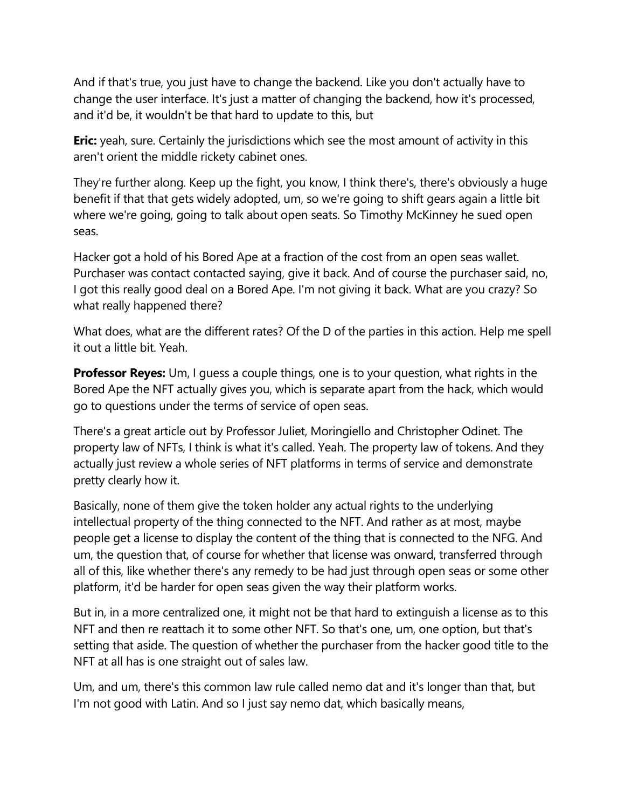And if that's true, you just have to change the backend. Like you don't actually have to change the user interface. It's just a matter of changing the backend, how it's processed, and it'd be, it wouldn't be that hard to update to this, but

**Eric:** yeah, sure. Certainly the jurisdictions which see the most amount of activity in this aren't orient the middle rickety cabinet ones.

They're further along. Keep up the fight, you know, I think there's, there's obviously a huge benefit if that that gets widely adopted, um, so we're going to shift gears again a little bit where we're going, going to talk about open seats. So Timothy McKinney he sued open seas.

Hacker got a hold of his Bored Ape at a fraction of the cost from an open seas wallet. Purchaser was contact contacted saying, give it back. And of course the purchaser said, no, I got this really good deal on a Bored Ape. I'm not giving it back. What are you crazy? So what really happened there?

What does, what are the different rates? Of the D of the parties in this action. Help me spell it out a little bit. Yeah.

**Professor Reyes:** Um, I guess a couple things, one is to your question, what rights in the Bored Ape the NFT actually gives you, which is separate apart from the hack, which would go to questions under the terms of service of open seas.

There's a great article out by Professor Juliet, Moringiello and Christopher Odinet. The property law of NFTs, I think is what it's called. Yeah. The property law of tokens. And they actually just review a whole series of NFT platforms in terms of service and demonstrate pretty clearly how it.

Basically, none of them give the token holder any actual rights to the underlying intellectual property of the thing connected to the NFT. And rather as at most, maybe people get a license to display the content of the thing that is connected to the NFG. And um, the question that, of course for whether that license was onward, transferred through all of this, like whether there's any remedy to be had just through open seas or some other platform, it'd be harder for open seas given the way their platform works.

But in, in a more centralized one, it might not be that hard to extinguish a license as to this NFT and then re reattach it to some other NFT. So that's one, um, one option, but that's setting that aside. The question of whether the purchaser from the hacker good title to the NFT at all has is one straight out of sales law.

Um, and um, there's this common law rule called nemo dat and it's longer than that, but I'm not good with Latin. And so I just say nemo dat, which basically means,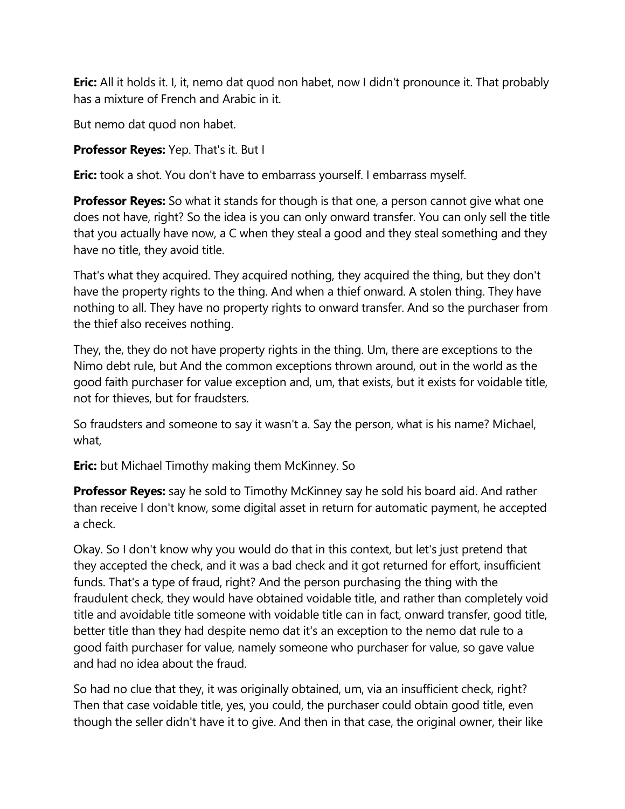**Eric:** All it holds it. I, it, nemo dat quod non habet, now I didn't pronounce it. That probably has a mixture of French and Arabic in it.

But nemo dat quod non habet.

**Professor Reyes:** Yep. That's it. But I

**Eric:** took a shot. You don't have to embarrass yourself. I embarrass myself.

**Professor Reyes:** So what it stands for though is that one, a person cannot give what one does not have, right? So the idea is you can only onward transfer. You can only sell the title that you actually have now, a C when they steal a good and they steal something and they have no title, they avoid title.

That's what they acquired. They acquired nothing, they acquired the thing, but they don't have the property rights to the thing. And when a thief onward. A stolen thing. They have nothing to all. They have no property rights to onward transfer. And so the purchaser from the thief also receives nothing.

They, the, they do not have property rights in the thing. Um, there are exceptions to the Nimo debt rule, but And the common exceptions thrown around, out in the world as the good faith purchaser for value exception and, um, that exists, but it exists for voidable title, not for thieves, but for fraudsters.

So fraudsters and someone to say it wasn't a. Say the person, what is his name? Michael, what,

**Eric:** but Michael Timothy making them McKinney. So

**Professor Reyes:** say he sold to Timothy McKinney say he sold his board aid. And rather than receive I don't know, some digital asset in return for automatic payment, he accepted a check.

Okay. So I don't know why you would do that in this context, but let's just pretend that they accepted the check, and it was a bad check and it got returned for effort, insufficient funds. That's a type of fraud, right? And the person purchasing the thing with the fraudulent check, they would have obtained voidable title, and rather than completely void title and avoidable title someone with voidable title can in fact, onward transfer, good title, better title than they had despite nemo dat it's an exception to the nemo dat rule to a good faith purchaser for value, namely someone who purchaser for value, so gave value and had no idea about the fraud.

So had no clue that they, it was originally obtained, um, via an insufficient check, right? Then that case voidable title, yes, you could, the purchaser could obtain good title, even though the seller didn't have it to give. And then in that case, the original owner, their like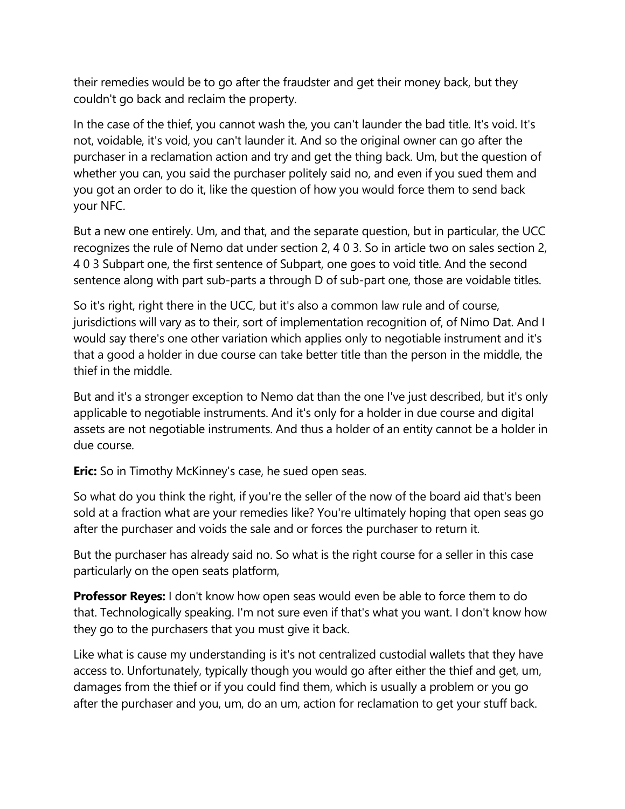their remedies would be to go after the fraudster and get their money back, but they couldn't go back and reclaim the property.

In the case of the thief, you cannot wash the, you can't launder the bad title. It's void. It's not, voidable, it's void, you can't launder it. And so the original owner can go after the purchaser in a reclamation action and try and get the thing back. Um, but the question of whether you can, you said the purchaser politely said no, and even if you sued them and you got an order to do it, like the question of how you would force them to send back your NFC.

But a new one entirely. Um, and that, and the separate question, but in particular, the UCC recognizes the rule of Nemo dat under section 2, 4 0 3. So in article two on sales section 2, 4 0 3 Subpart one, the first sentence of Subpart, one goes to void title. And the second sentence along with part sub-parts a through D of sub-part one, those are voidable titles.

So it's right, right there in the UCC, but it's also a common law rule and of course, jurisdictions will vary as to their, sort of implementation recognition of, of Nimo Dat. And I would say there's one other variation which applies only to negotiable instrument and it's that a good a holder in due course can take better title than the person in the middle, the thief in the middle.

But and it's a stronger exception to Nemo dat than the one I've just described, but it's only applicable to negotiable instruments. And it's only for a holder in due course and digital assets are not negotiable instruments. And thus a holder of an entity cannot be a holder in due course.

**Eric:** So in Timothy McKinney's case, he sued open seas.

So what do you think the right, if you're the seller of the now of the board aid that's been sold at a fraction what are your remedies like? You're ultimately hoping that open seas go after the purchaser and voids the sale and or forces the purchaser to return it.

But the purchaser has already said no. So what is the right course for a seller in this case particularly on the open seats platform,

**Professor Reyes:** I don't know how open seas would even be able to force them to do that. Technologically speaking. I'm not sure even if that's what you want. I don't know how they go to the purchasers that you must give it back.

Like what is cause my understanding is it's not centralized custodial wallets that they have access to. Unfortunately, typically though you would go after either the thief and get, um, damages from the thief or if you could find them, which is usually a problem or you go after the purchaser and you, um, do an um, action for reclamation to get your stuff back.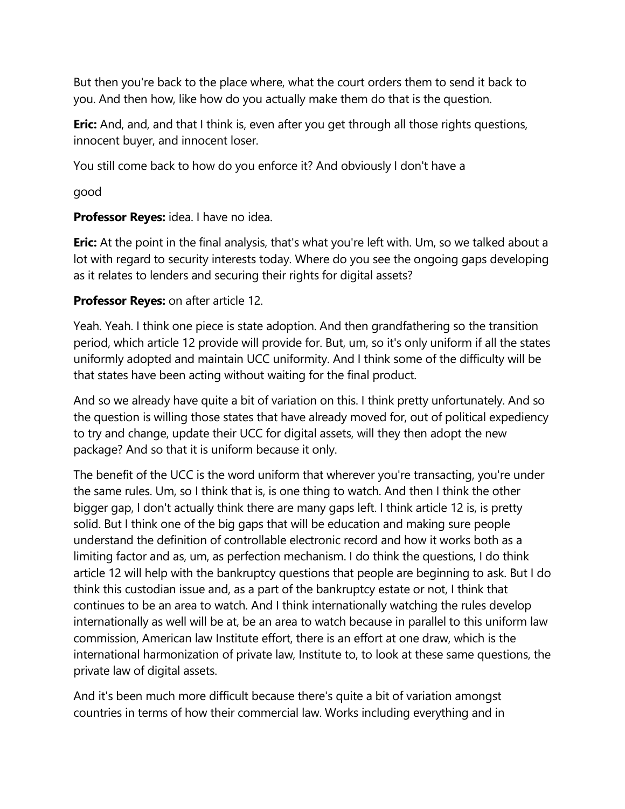But then you're back to the place where, what the court orders them to send it back to you. And then how, like how do you actually make them do that is the question.

**Eric:** And, and, and that I think is, even after you get through all those rights questions, innocent buyer, and innocent loser.

You still come back to how do you enforce it? And obviously I don't have a

good

## **Professor Reyes:** idea. I have no idea.

**Eric:** At the point in the final analysis, that's what you're left with. Um, so we talked about a lot with regard to security interests today. Where do you see the ongoing gaps developing as it relates to lenders and securing their rights for digital assets?

## **Professor Reyes:** on after article 12.

Yeah. Yeah. I think one piece is state adoption. And then grandfathering so the transition period, which article 12 provide will provide for. But, um, so it's only uniform if all the states uniformly adopted and maintain UCC uniformity. And I think some of the difficulty will be that states have been acting without waiting for the final product.

And so we already have quite a bit of variation on this. I think pretty unfortunately. And so the question is willing those states that have already moved for, out of political expediency to try and change, update their UCC for digital assets, will they then adopt the new package? And so that it is uniform because it only.

The benefit of the UCC is the word uniform that wherever you're transacting, you're under the same rules. Um, so I think that is, is one thing to watch. And then I think the other bigger gap, I don't actually think there are many gaps left. I think article 12 is, is pretty solid. But I think one of the big gaps that will be education and making sure people understand the definition of controllable electronic record and how it works both as a limiting factor and as, um, as perfection mechanism. I do think the questions, I do think article 12 will help with the bankruptcy questions that people are beginning to ask. But I do think this custodian issue and, as a part of the bankruptcy estate or not, I think that continues to be an area to watch. And I think internationally watching the rules develop internationally as well will be at, be an area to watch because in parallel to this uniform law commission, American law Institute effort, there is an effort at one draw, which is the international harmonization of private law, Institute to, to look at these same questions, the private law of digital assets.

And it's been much more difficult because there's quite a bit of variation amongst countries in terms of how their commercial law. Works including everything and in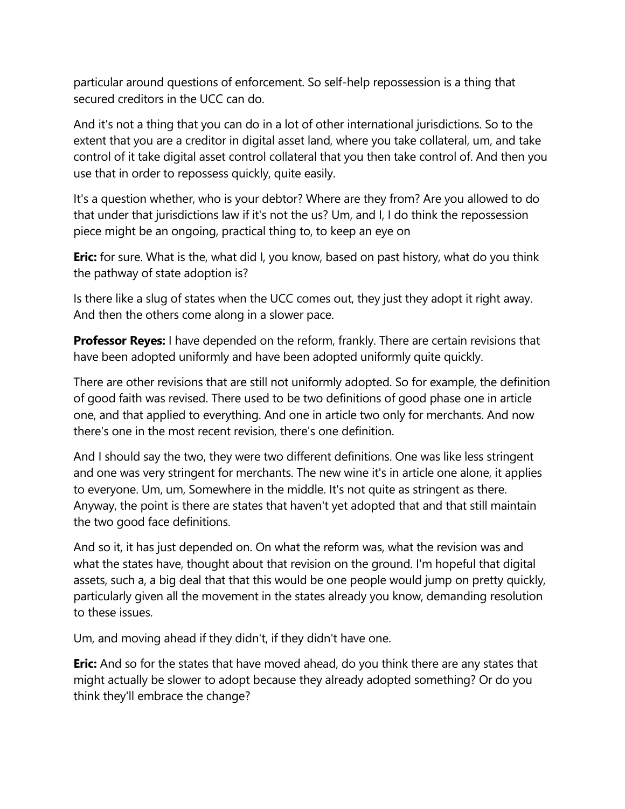particular around questions of enforcement. So self-help repossession is a thing that secured creditors in the UCC can do.

And it's not a thing that you can do in a lot of other international jurisdictions. So to the extent that you are a creditor in digital asset land, where you take collateral, um, and take control of it take digital asset control collateral that you then take control of. And then you use that in order to repossess quickly, quite easily.

It's a question whether, who is your debtor? Where are they from? Are you allowed to do that under that jurisdictions law if it's not the us? Um, and I, I do think the repossession piece might be an ongoing, practical thing to, to keep an eye on

**Eric:** for sure. What is the, what did I, you know, based on past history, what do you think the pathway of state adoption is?

Is there like a slug of states when the UCC comes out, they just they adopt it right away. And then the others come along in a slower pace.

**Professor Reyes:** I have depended on the reform, frankly. There are certain revisions that have been adopted uniformly and have been adopted uniformly quite quickly.

There are other revisions that are still not uniformly adopted. So for example, the definition of good faith was revised. There used to be two definitions of good phase one in article one, and that applied to everything. And one in article two only for merchants. And now there's one in the most recent revision, there's one definition.

And I should say the two, they were two different definitions. One was like less stringent and one was very stringent for merchants. The new wine it's in article one alone, it applies to everyone. Um, um, Somewhere in the middle. It's not quite as stringent as there. Anyway, the point is there are states that haven't yet adopted that and that still maintain the two good face definitions.

And so it, it has just depended on. On what the reform was, what the revision was and what the states have, thought about that revision on the ground. I'm hopeful that digital assets, such a, a big deal that that this would be one people would jump on pretty quickly, particularly given all the movement in the states already you know, demanding resolution to these issues.

Um, and moving ahead if they didn't, if they didn't have one.

**Eric:** And so for the states that have moved ahead, do you think there are any states that might actually be slower to adopt because they already adopted something? Or do you think they'll embrace the change?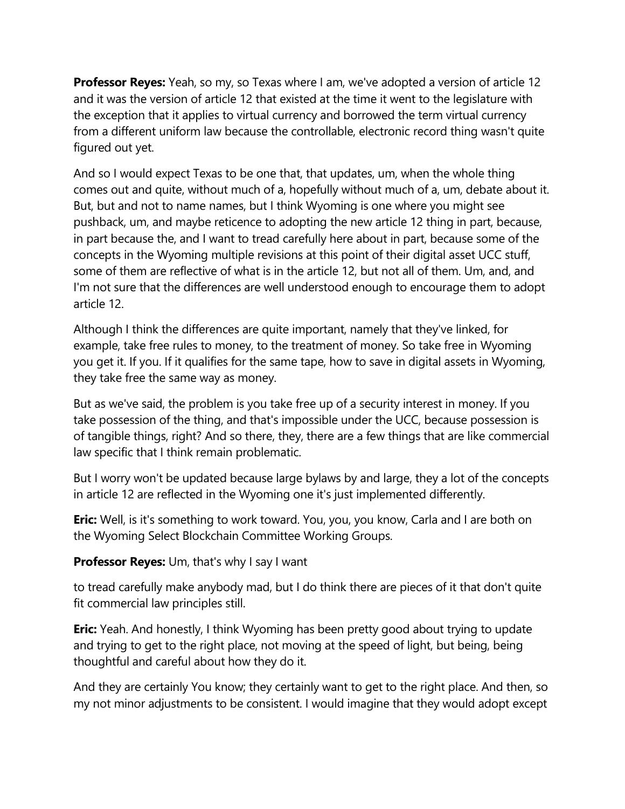**Professor Reyes:** Yeah, so my, so Texas where I am, we've adopted a version of article 12 and it was the version of article 12 that existed at the time it went to the legislature with the exception that it applies to virtual currency and borrowed the term virtual currency from a different uniform law because the controllable, electronic record thing wasn't quite figured out yet.

And so I would expect Texas to be one that, that updates, um, when the whole thing comes out and quite, without much of a, hopefully without much of a, um, debate about it. But, but and not to name names, but I think Wyoming is one where you might see pushback, um, and maybe reticence to adopting the new article 12 thing in part, because, in part because the, and I want to tread carefully here about in part, because some of the concepts in the Wyoming multiple revisions at this point of their digital asset UCC stuff, some of them are reflective of what is in the article 12, but not all of them. Um, and, and I'm not sure that the differences are well understood enough to encourage them to adopt article 12.

Although I think the differences are quite important, namely that they've linked, for example, take free rules to money, to the treatment of money. So take free in Wyoming you get it. If you. If it qualifies for the same tape, how to save in digital assets in Wyoming, they take free the same way as money.

But as we've said, the problem is you take free up of a security interest in money. If you take possession of the thing, and that's impossible under the UCC, because possession is of tangible things, right? And so there, they, there are a few things that are like commercial law specific that I think remain problematic.

But I worry won't be updated because large bylaws by and large, they a lot of the concepts in article 12 are reflected in the Wyoming one it's just implemented differently.

**Eric:** Well, is it's something to work toward. You, you, you know, Carla and I are both on the Wyoming Select Blockchain Committee Working Groups.

**Professor Reyes:** Um, that's why I say I want

to tread carefully make anybody mad, but I do think there are pieces of it that don't quite fit commercial law principles still.

**Eric:** Yeah. And honestly, I think Wyoming has been pretty good about trying to update and trying to get to the right place, not moving at the speed of light, but being, being thoughtful and careful about how they do it.

And they are certainly You know; they certainly want to get to the right place. And then, so my not minor adjustments to be consistent. I would imagine that they would adopt except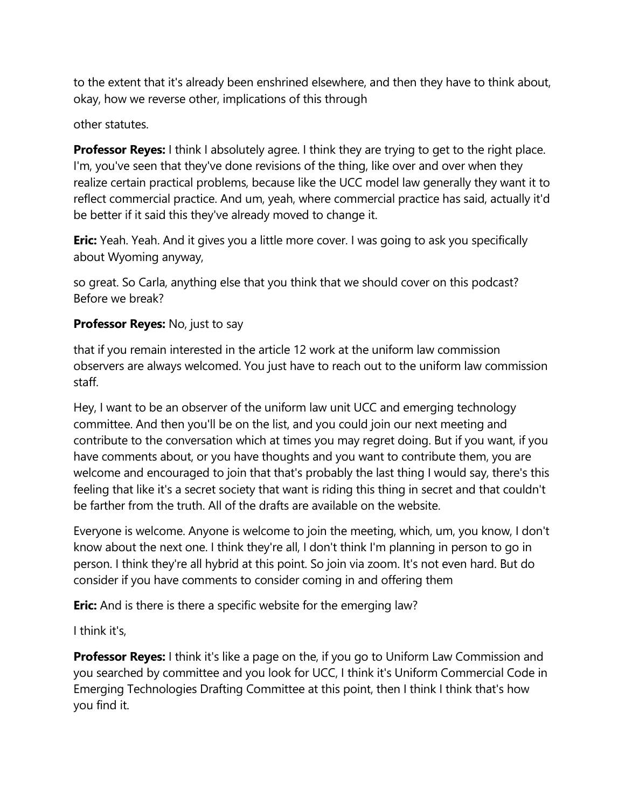to the extent that it's already been enshrined elsewhere, and then they have to think about, okay, how we reverse other, implications of this through

other statutes.

**Professor Reyes:** I think I absolutely agree. I think they are trying to get to the right place. I'm, you've seen that they've done revisions of the thing, like over and over when they realize certain practical problems, because like the UCC model law generally they want it to reflect commercial practice. And um, yeah, where commercial practice has said, actually it'd be better if it said this they've already moved to change it.

**Eric:** Yeah. Yeah. And it gives you a little more cover. I was going to ask you specifically about Wyoming anyway,

so great. So Carla, anything else that you think that we should cover on this podcast? Before we break?

## **Professor Reyes:** No, just to say

that if you remain interested in the article 12 work at the uniform law commission observers are always welcomed. You just have to reach out to the uniform law commission staff.

Hey, I want to be an observer of the uniform law unit UCC and emerging technology committee. And then you'll be on the list, and you could join our next meeting and contribute to the conversation which at times you may regret doing. But if you want, if you have comments about, or you have thoughts and you want to contribute them, you are welcome and encouraged to join that that's probably the last thing I would say, there's this feeling that like it's a secret society that want is riding this thing in secret and that couldn't be farther from the truth. All of the drafts are available on the website.

Everyone is welcome. Anyone is welcome to join the meeting, which, um, you know, I don't know about the next one. I think they're all, I don't think I'm planning in person to go in person. I think they're all hybrid at this point. So join via zoom. It's not even hard. But do consider if you have comments to consider coming in and offering them

**Eric:** And is there is there a specific website for the emerging law?

I think it's,

**Professor Reyes:** I think it's like a page on the, if you go to Uniform Law Commission and you searched by committee and you look for UCC, I think it's Uniform Commercial Code in Emerging Technologies Drafting Committee at this point, then I think I think that's how you find it.